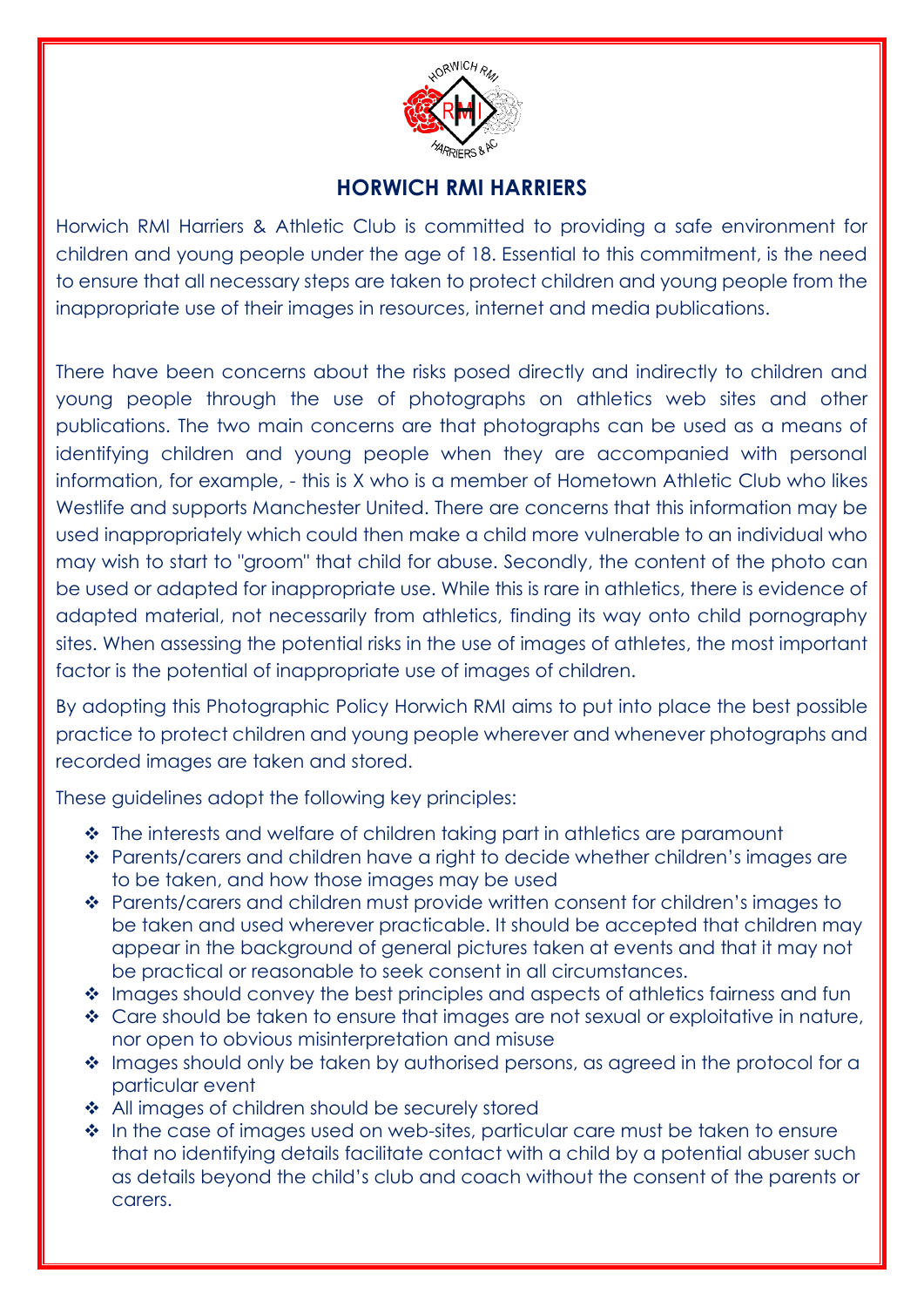

# **HORWICH RMI HARRIERS**

Horwich RMI Harriers & Athletic Club is committed to providing a safe environment for children and young people under the age of 18. Essential to this commitment, is the need to ensure that all necessary steps are taken to protect children and young people from the inappropriate use of their images in resources, internet and media publications.

There have been concerns about the risks posed directly and indirectly to children and young people through the use of photographs on athletics web sites and other publications. The two main concerns are that photographs can be used as a means of identifying children and young people when they are accompanied with personal information, for example, - this is X who is a member of Hometown Athletic Club who likes Westlife and supports Manchester United. There are concerns that this information may be used inappropriately which could then make a child more vulnerable to an individual who may wish to start to "groom" that child for abuse. Secondly, the content of the photo can be used or adapted for inappropriate use. While this is rare in athletics, there is evidence of adapted material, not necessarily from athletics, finding its way onto child pornography sites. When assessing the potential risks in the use of images of athletes, the most important factor is the potential of inappropriate use of images of children.

By adopting this Photographic Policy Horwich RMI aims to put into place the best possible practice to protect children and young people wherever and whenever photographs and recorded images are taken and stored.

These guidelines adopt the following key principles:

- The interests and welfare of children taking part in athletics are paramount
- Parents/carers and children have a right to decide whether children's images are to be taken, and how those images may be used
- Parents/carers and children must provide written consent for children's images to be taken and used wherever practicable. It should be accepted that children may appear in the background of general pictures taken at events and that it may not be practical or reasonable to seek consent in all circumstances.
- ◆ Images should convey the best principles and aspects of athletics fairness and fun
- ◆ Care should be taken to ensure that images are not sexual or exploitative in nature, nor open to obvious misinterpretation and misuse
- Images should only be taken by authorised persons, as agreed in the protocol for a particular event
- ❖ All images of children should be securely stored
- In the case of images used on web-sites, particular care must be taken to ensure that no identifying details facilitate contact with a child by a potential abuser such as details beyond the child's club and coach without the consent of the parents or carers.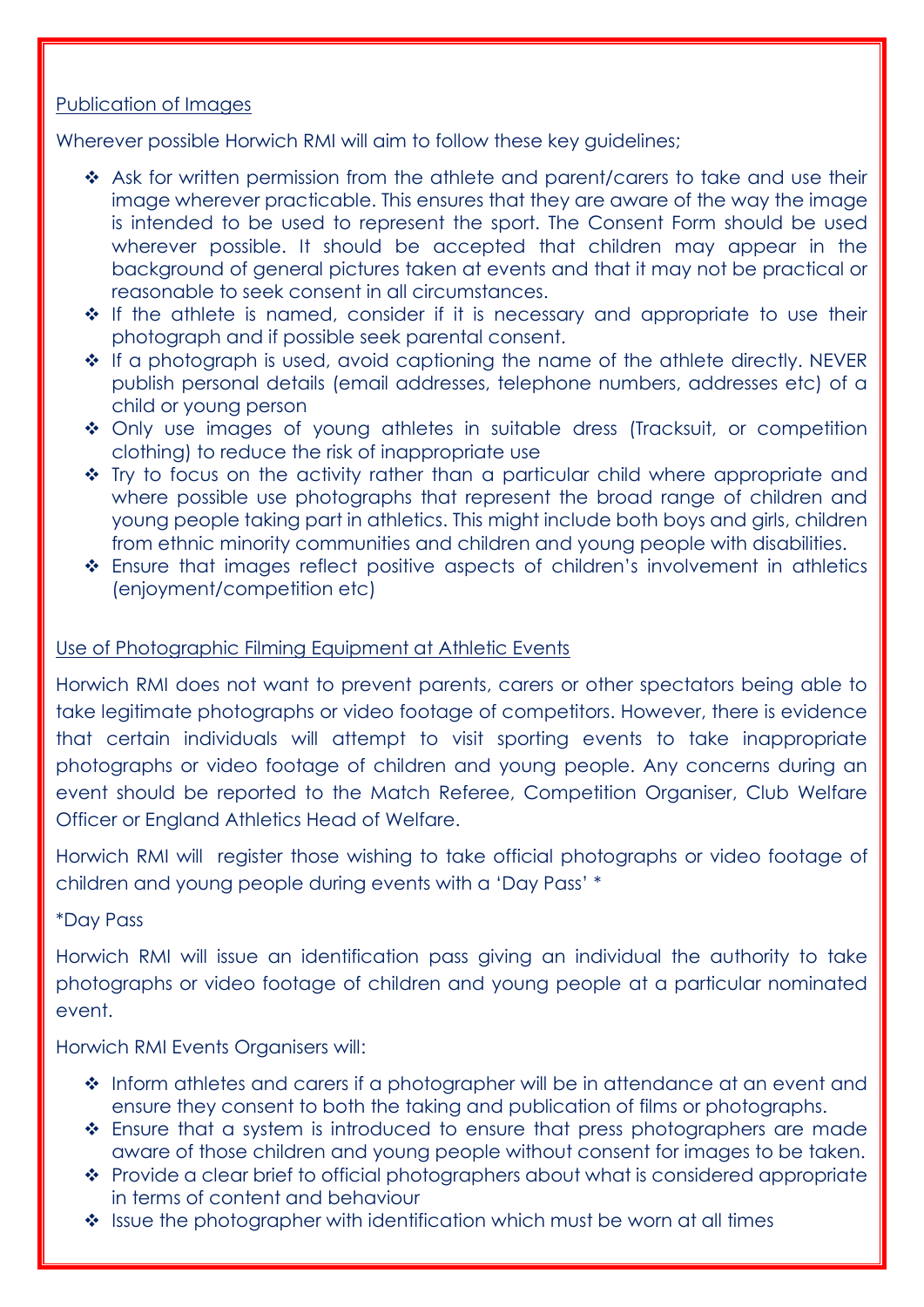## Publication of Images

Wherever possible Horwich RMI will aim to follow these key guidelines;

- ◆ Ask for written permission from the athlete and parent/carers to take and use their image wherever practicable. This ensures that they are aware of the way the image is intended to be used to represent the sport. The Consent Form should be used wherever possible. It should be accepted that children may appear in the background of general pictures taken at events and that it may not be practical or reasonable to seek consent in all circumstances.
- $\div$  If the athlete is named, consider if it is necessary and appropriate to use their photograph and if possible seek parental consent.
- \* If a photograph is used, avoid captioning the name of the athlete directly. NEVER publish personal details (email addresses, telephone numbers, addresses etc) of a child or young person
- Only use images of young athletes in suitable dress (Tracksuit, or competition clothing) to reduce the risk of inappropriate use
- Try to focus on the activity rather than a particular child where appropriate and where possible use photographs that represent the broad range of children and young people taking part in athletics. This might include both boys and girls, children from ethnic minority communities and children and young people with disabilities.
- Ensure that images reflect positive aspects of children's involvement in athletics (enjoyment/competition etc)

## Use of Photographic Filming Equipment at Athletic Events

Horwich RMI does not want to prevent parents, carers or other spectators being able to take legitimate photographs or video footage of competitors. However, there is evidence that certain individuals will attempt to visit sporting events to take inappropriate photographs or video footage of children and young people. Any concerns during an event should be reported to the Match Referee, Competition Organiser, Club Welfare Officer or England Athletics Head of Welfare.

Horwich RMI will register those wishing to take official photographs or video footage of children and young people during events with a 'Day Pass' \*

## \*Day Pass

Horwich RMI will issue an identification pass giving an individual the authority to take photographs or video footage of children and young people at a particular nominated event.

Horwich RMI Events Organisers will:

- $\cdot$  Inform athletes and carers if a photographer will be in attendance at an event and ensure they consent to both the taking and publication of films or photographs.
- Ensure that a system is introduced to ensure that press photographers are made aware of those children and young people without consent for images to be taken.
- ◆ Provide a clear brief to official photographers about what is considered appropriate in terms of content and behaviour
- $\cdot$  Issue the photographer with identification which must be worn at all times